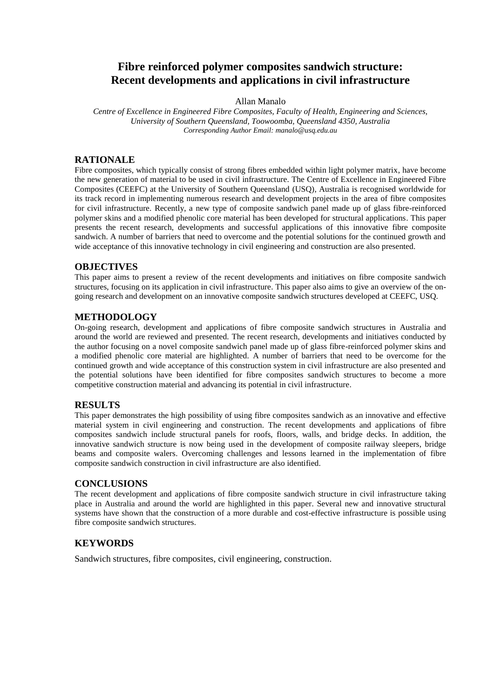# **Fibre reinforced polymer composites sandwich structure: Recent developments and applications in civil infrastructure**

### Allan Manalo

*Centre of Excellence in Engineered Fibre Composites, Faculty of Health, Engineering and Sciences, University of Southern Queensland, Toowoomba, Queensland 4350, Australia Corresponding Author Email: manalo@usq.edu.au*

# **RATIONALE**

Fibre composites, which typically consist of strong fibres embedded within light polymer matrix, have become the new generation of material to be used in civil infrastructure. The Centre of Excellence in Engineered Fibre Composites (CEEFC) at the University of Southern Queensland (USQ), Australia is recognised worldwide for its track record in implementing numerous research and development projects in the area of fibre composites for civil infrastructure. Recently, a new type of composite sandwich panel made up of glass fibre-reinforced polymer skins and a modified phenolic core material has been developed for structural applications. This paper presents the recent research, developments and successful applications of this innovative fibre composite sandwich. A number of barriers that need to overcome and the potential solutions for the continued growth and wide acceptance of this innovative technology in civil engineering and construction are also presented.

## **OBJECTIVES**

This paper aims to present a review of the recent developments and initiatives on fibre composite sandwich structures, focusing on its application in civil infrastructure. This paper also aims to give an overview of the ongoing research and development on an innovative composite sandwich structures developed at CEEFC, USQ.

### **METHODOLOGY**

On-going research, development and applications of fibre composite sandwich structures in Australia and around the world are reviewed and presented. The recent research, developments and initiatives conducted by the author focusing on a novel composite sandwich panel made up of glass fibre-reinforced polymer skins and a modified phenolic core material are highlighted. A number of barriers that need to be overcome for the continued growth and wide acceptance of this construction system in civil infrastructure are also presented and the potential solutions have been identified for fibre composites sandwich structures to become a more competitive construction material and advancing its potential in civil infrastructure.

### **RESULTS**

This paper demonstrates the high possibility of using fibre composites sandwich as an innovative and effective material system in civil engineering and construction. The recent developments and applications of fibre composites sandwich include structural panels for roofs, floors, walls, and bridge decks. In addition, the innovative sandwich structure is now being used in the development of composite railway sleepers, bridge beams and composite walers. Overcoming challenges and lessons learned in the implementation of fibre composite sandwich construction in civil infrastructure are also identified.

### **CONCLUSIONS**

The recent development and applications of fibre composite sandwich structure in civil infrastructure taking place in Australia and around the world are highlighted in this paper. Several new and innovative structural systems have shown that the construction of a more durable and cost-effective infrastructure is possible using fibre composite sandwich structures.

# **KEYWORDS**

Sandwich structures, fibre composites, civil engineering, construction.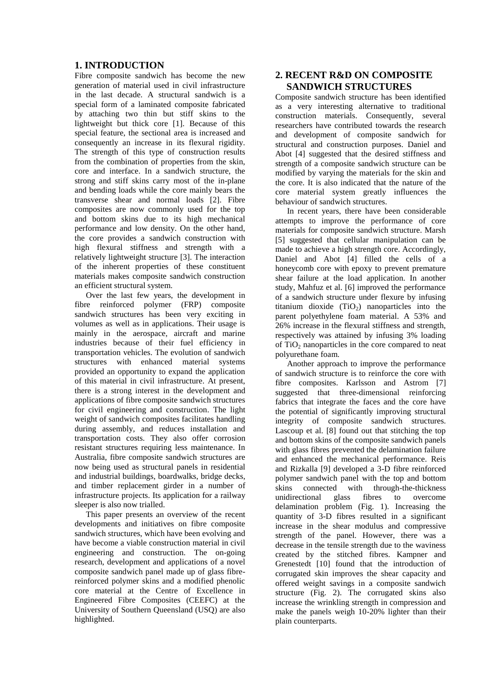# **1. INTRODUCTION**

Fibre composite sandwich has become the new generation of material used in civil infrastructure in the last decade. A structural sandwich is a special form of a laminated composite fabricated by attaching two thin but stiff skins to the lightweight but thick core [1]. Because of this special feature, the sectional area is increased and consequently an increase in its flexural rigidity. The strength of this type of construction results from the combination of properties from the skin, core and interface. In a sandwich structure, the strong and stiff skins carry most of the in-plane and bending loads while the core mainly bears the transverse shear and normal loads [2]. Fibre composites are now commonly used for the top and bottom skins due to its high mechanical performance and low density. On the other hand, the core provides a sandwich construction with high flexural stiffness and strength with a relatively lightweight structure [3]. The interaction of the inherent properties of these constituent materials makes composite sandwich construction an efficient structural system.

Over the last few years, the development in fibre reinforced polymer (FRP) composite sandwich structures has been very exciting in volumes as well as in applications. Their usage is mainly in the aerospace, aircraft and marine industries because of their fuel efficiency in transportation vehicles. The evolution of sandwich structures with enhanced material systems provided an opportunity to expand the application of this material in civil infrastructure. At present, there is a strong interest in the development and applications of fibre composite sandwich structures for civil engineering and construction. The light weight of sandwich composites facilitates handling during assembly, and reduces installation and transportation costs. They also offer corrosion resistant structures requiring less maintenance. In Australia, fibre composite sandwich structures are now being used as structural panels in residential and industrial buildings, boardwalks, bridge decks, and timber replacement girder in a number of infrastructure projects. Its application for a railway sleeper is also now trialled.

This paper presents an overview of the recent developments and initiatives on fibre composite sandwich structures, which have been evolving and have become a viable construction material in civil engineering and construction. The on-going research, development and applications of a novel composite sandwich panel made up of glass fibrereinforced polymer skins and a modified phenolic core material at the Centre of Excellence in Engineered Fibre Composites (CEEFC) at the University of Southern Queensland (USQ) are also highlighted.

# **2. RECENT R&D ON COMPOSITE SANDWICH STRUCTURES**

Composite sandwich structure has been identified as a very interesting alternative to traditional construction materials. Consequently, several researchers have contributed towards the research and development of composite sandwich for structural and construction purposes. Daniel and Abot [4] suggested that the desired stiffness and strength of a composite sandwich structure can be modified by varying the materials for the skin and the core. It is also indicated that the nature of the core material system greatly influences the behaviour of sandwich structures.

In recent years, there have been considerable attempts to improve the performance of core materials for composite sandwich structure. Marsh [5] suggested that cellular manipulation can be made to achieve a high strength core. Accordingly, Daniel and Abot [4] filled the cells of a honeycomb core with epoxy to prevent premature shear failure at the load application. In another study, Mahfuz et al. [6] improved the performance of a sandwich structure under flexure by infusing titanium dioxide  $(TiO<sub>2</sub>)$  nanoparticles into the parent polyethylene foam material. A 53% and 26% increase in the flexural stiffness and strength, respectively was attained by infusing 3% loading of  $TiO<sub>2</sub>$  nanoparticles in the core compared to neat polyurethane foam.

Another approach to improve the performance of sandwich structure is to reinforce the core with fibre composites. Karlsson and Astrom [7] suggested that three-dimensional reinforcing fabrics that integrate the faces and the core have the potential of significantly improving structural integrity of composite sandwich structures. Lascoup et al. [8] found out that stitching the top and bottom skins of the composite sandwich panels with glass fibres prevented the delamination failure and enhanced the mechanical performance. Reis and Rizkalla [9] developed a 3-D fibre reinforced polymer sandwich panel with the top and bottom skins connected with through-the-thickness unidirectional glass fibres to overcome delamination problem (Fig. 1). Increasing the quantity of 3-D fibres resulted in a significant increase in the shear modulus and compressive strength of the panel. However, there was a decrease in the tensile strength due to the waviness created by the stitched fibres. Kampner and Grenestedt [10] found that the introduction of corrugated skin improves the shear capacity and offered weight savings in a composite sandwich structure (Fig. 2). The corrugated skins also increase the wrinkling strength in compression and make the panels weigh 10-20% lighter than their plain counterparts.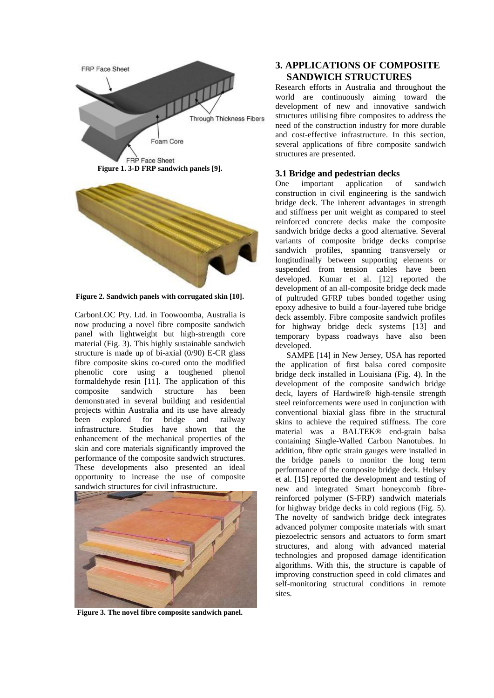

**Figure 2. Sandwich panels with corrugated skin [10].**

CarbonLOC Pty. Ltd. in Toowoomba, Australia is now producing a novel fibre composite sandwich panel with lightweight but high-strength core material (Fig. 3). This highly sustainable sandwich structure is made up of bi-axial (0/90) E-CR glass fibre composite skins co-cured onto the modified phenolic core using a toughened phenol formaldehyde resin [11]. The application of this composite sandwich structure has been demonstrated in several building and residential projects within Australia and its use have already been explored for bridge and railway infrastructure. Studies have shown that the enhancement of the mechanical properties of the skin and core materials significantly improved the performance of the composite sandwich structures. These developments also presented an ideal opportunity to increase the use of composite sandwich structures for civil infrastructure.



**Figure 3. The novel fibre composite sandwich panel.**

# **3. APPLICATIONS OF COMPOSITE SANDWICH STRUCTURES**

Research efforts in Australia and throughout the world are continuously aiming toward the development of new and innovative sandwich structures utilising fibre composites to address the need of the construction industry for more durable and cost-effective infrastructure. In this section, several applications of fibre composite sandwich structures are presented.

### **3.1 Bridge and pedestrian decks**

One important application of sandwich construction in civil engineering is the sandwich bridge deck. The inherent advantages in strength and stiffness per unit weight as compared to steel reinforced concrete decks make the composite sandwich bridge decks a good alternative. Several variants of composite bridge decks comprise sandwich profiles, spanning transversely or longitudinally between supporting elements or suspended from tension cables have been developed. Kumar et al. [12] reported the development of an all-composite bridge deck made of pultruded GFRP tubes bonded together using epoxy adhesive to build a four-layered tube bridge deck assembly. Fibre composite sandwich profiles for highway bridge deck systems [13] and temporary bypass roadways have also been developed.

SAMPE [14] in New Jersey, USA has reported the application of first balsa cored composite bridge deck installed in Louisiana (Fig. 4). In the development of the composite sandwich bridge deck, layers of Hardwire® high-tensile strength steel reinforcements were used in conjunction with conventional biaxial glass fibre in the structural skins to achieve the required stiffness. The core material was a BALTEK® end-grain balsa containing Single-Walled Carbon Nanotubes. In addition, fibre optic strain gauges were installed in the bridge panels to monitor the long term performance of the composite bridge deck. Hulsey et al. [15] reported the development and testing of new and integrated Smart honeycomb fibrereinforced polymer (S-FRP) sandwich materials for highway bridge decks in cold regions (Fig. 5). The novelty of sandwich bridge deck integrates advanced polymer composite materials with smart piezoelectric sensors and actuators to form smart structures, and along with advanced material technologies and proposed damage identification algorithms. With this, the structure is capable of improving construction speed in cold climates and self-monitoring structural conditions in remote sites.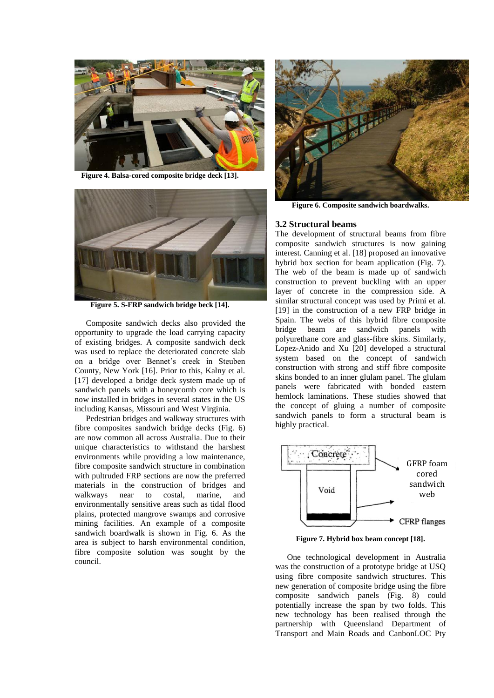

**Figure 4. Balsa-cored composite bridge deck [13].**



**Figure 5. S-FRP sandwich bridge beck [14].**

Composite sandwich decks also provided the opportunity to upgrade the load carrying capacity of existing bridges. A composite sandwich deck was used to replace the deteriorated concrete slab on a bridge over Bennet's creek in Steuben County, New York [16]. Prior to this, Kalny et al. [17] developed a bridge deck system made up of sandwich panels with a honeycomb core which is now installed in bridges in several states in the US including Kansas, Missouri and West Virginia.

Pedestrian bridges and walkway structures with fibre composites sandwich bridge decks (Fig. 6) are now common all across Australia. Due to their unique characteristics to withstand the harshest environments while providing a low maintenance, fibre composite sandwich structure in combination with pultruded FRP sections are now the preferred materials in the construction of bridges and walkways near to costal, marine, and environmentally sensitive areas such as tidal flood plains, protected mangrove swamps and corrosive mining facilities. An example of a composite sandwich boardwalk is shown in Fig. 6. As the area is subject to harsh environmental condition, fibre composite solution was sought by the council.



**Figure 6. Composite sandwich boardwalks.**

### **3.2 Structural beams**

The development of structural beams from fibre composite sandwich structures is now gaining interest. Canning et al. [18] proposed an innovative hybrid box section for beam application (Fig. 7). The web of the beam is made up of sandwich construction to prevent buckling with an upper layer of concrete in the compression side. A similar structural concept was used by Primi et al. [19] in the construction of a new FRP bridge in Spain. The webs of this hybrid fibre composite bridge beam are sandwich panels with polyurethane core and glass-fibre skins. Similarly, Lopez-Anido and Xu [20] developed a structural system based on the concept of sandwich construction with strong and stiff fibre composite skins bonded to an inner glulam panel. The glulam panels were fabricated with bonded eastern hemlock laminations. These studies showed that the concept of gluing a number of composite sandwich panels to form a structural beam is highly practical.



**Figure 7. Hybrid box beam concept [18].**

One technological development in Australia was the construction of a prototype bridge at USQ using fibre composite sandwich structures. This new generation of composite bridge using the fibre composite sandwich panels (Fig. 8) could potentially increase the span by two folds. This new technology has been realised through the partnership with Queensland Department of Transport and Main Roads and CanbonLOC Pty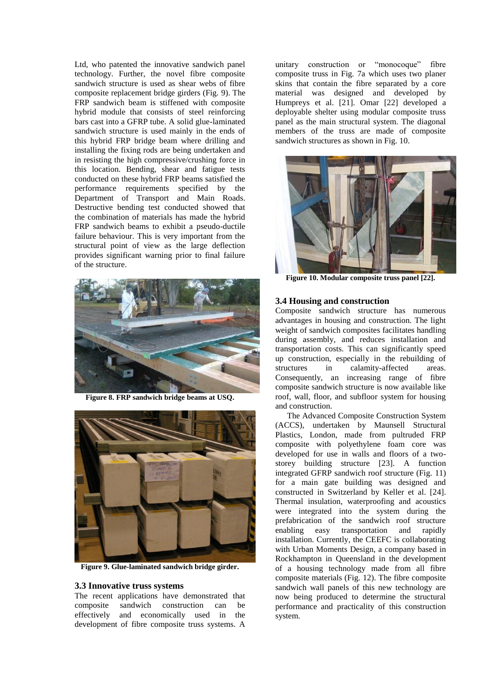Ltd, who patented the innovative sandwich panel technology. Further, the novel fibre composite sandwich structure is used as shear webs of fibre composite replacement bridge girders (Fig. 9). The FRP sandwich beam is stiffened with composite hybrid module that consists of steel reinforcing bars cast into a GFRP tube. A solid glue-laminated sandwich structure is used mainly in the ends of this hybrid FRP bridge beam where drilling and installing the fixing rods are being undertaken and in resisting the high compressive/crushing force in this location. Bending, shear and fatigue tests conducted on these hybrid FRP beams satisfied the performance requirements specified by the Department of Transport and Main Roads. Destructive bending test conducted showed that the combination of materials has made the hybrid FRP sandwich beams to exhibit a pseudo-ductile failure behaviour. This is very important from the structural point of view as the large deflection provides significant warning prior to final failure of the structure.



**Figure 8. FRP sandwich bridge beams at USQ.**



**Figure 9. Glue-laminated sandwich bridge girder.**

#### **3.3 Innovative truss systems**

The recent applications have demonstrated that composite sandwich construction can be effectively and economically used in the development of fibre composite truss systems. A

unitary construction or "monocoque" fibre composite truss in Fig. 7a which uses two planer skins that contain the fibre separated by a core material was designed and developed by Humpreys et al. [21]. Omar [22] developed a deployable shelter using modular composite truss panel as the main structural system. The diagonal members of the truss are made of composite sandwich structures as shown in Fig. 10.



**Figure 10. Modular composite truss panel [22].**

#### **3.4 Housing and construction**

Composite sandwich structure has numerous advantages in housing and construction. The light weight of sandwich composites facilitates handling during assembly, and reduces installation and transportation costs. This can significantly speed up construction, especially in the rebuilding of structures in calamity-affected areas. Consequently, an increasing range of fibre composite sandwich structure is now available like roof, wall, floor, and subfloor system for housing and construction.

The Advanced Composite Construction System (ACCS), undertaken by Maunsell Structural Plastics, London, made from pultruded FRP composite with polyethylene foam core was developed for use in walls and floors of a twostorey building structure [23]. A function integrated GFRP sandwich roof structure (Fig. 11) for a main gate building was designed and constructed in Switzerland by Keller et al. [24]. Thermal insulation, waterproofing and acoustics were integrated into the system during the prefabrication of the sandwich roof structure enabling easy transportation and rapidly installation. Currently, the CEEFC is collaborating with Urban Moments Design, a company based in Rockhampton in Queensland in the development of a housing technology made from all fibre composite materials (Fig. 12). The fibre composite sandwich wall panels of this new technology are now being produced to determine the structural performance and practicality of this construction system.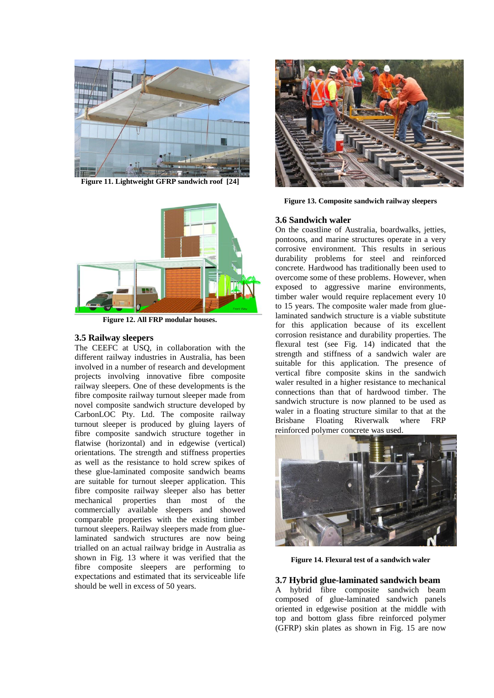

**Figure 11. Lightweight GFRP sandwich roof [24]**



**Figure 12. All FRP modular houses.**

### **3.5 Railway sleepers**

The CEEFC at USQ, in collaboration with the different railway industries in Australia, has been involved in a number of research and development projects involving innovative fibre composite railway sleepers. One of these developments is the fibre composite railway turnout sleeper made from novel composite sandwich structure developed by CarbonLOC Pty. Ltd. The composite railway turnout sleeper is produced by gluing layers of fibre composite sandwich structure together in flatwise (horizontal) and in edgewise (vertical) orientations. The strength and stiffness properties as well as the resistance to hold screw spikes of these glue-laminated composite sandwich beams are suitable for turnout sleeper application. This fibre composite railway sleeper also has better mechanical properties than most of the commercially available sleepers and showed comparable properties with the existing timber turnout sleepers. Railway sleepers made from gluelaminated sandwich structures are now being trialled on an actual railway bridge in Australia as shown in Fig. 13 where it was verified that the fibre composite sleepers are performing to expectations and estimated that its serviceable life should be well in excess of 50 years.



**Figure 13. Composite sandwich railway sleepers**

### **3.6 Sandwich waler**

On the coastline of Australia, boardwalks, jetties, pontoons, and marine structures operate in a very corrosive environment. This results in serious durability problems for steel and reinforced concrete. Hardwood has traditionally been used to overcome some of these problems. However, when exposed to aggressive marine environments, timber waler would require replacement every 10 to 15 years. The composite waler made from gluelaminated sandwich structure is a viable substitute for this application because of its excellent corrosion resistance and durability properties. The flexural test (see Fig. 14) indicated that the strength and stiffness of a sandwich waler are suitable for this application. The presence of vertical fibre composite skins in the sandwich waler resulted in a higher resistance to mechanical connections than that of hardwood timber. The sandwich structure is now planned to be used as waler in a floating structure similar to that at the Brisbane Floating Riverwalk where FRP reinforced polymer concrete was used.



**Figure 14. Flexural test of a sandwich waler**

# **3.7 Hybrid glue-laminated sandwich beam**

A hybrid fibre composite sandwich beam composed of glue-laminated sandwich panels oriented in edgewise position at the middle with top and bottom glass fibre reinforced polymer (GFRP) skin plates as shown in Fig. 15 are now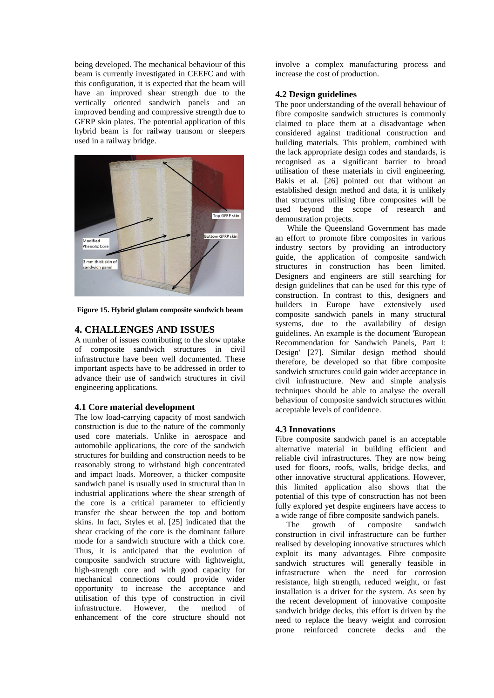being developed. The mechanical behaviour of this beam is currently investigated in CEEFC and with this configuration, it is expected that the beam will have an improved shear strength due to the vertically oriented sandwich panels and an improved bending and compressive strength due to GFRP skin plates. The potential application of this hybrid beam is for railway transom or sleepers used in a railway bridge.



**Figure 15. Hybrid glulam composite sandwich beam**

# **4. CHALLENGES AND ISSUES**

A number of issues contributing to the slow uptake of composite sandwich structures in civil infrastructure have been well documented. These important aspects have to be addressed in order to advance their use of sandwich structures in civil engineering applications.

### **4.1 Core material development**

The low load-carrying capacity of most sandwich construction is due to the nature of the commonly used core materials. Unlike in aerospace and automobile applications, the core of the sandwich structures for building and construction needs to be reasonably strong to withstand high concentrated and impact loads. Moreover, a thicker composite sandwich panel is usually used in structural than in industrial applications where the shear strength of the core is a critical parameter to efficiently transfer the shear between the top and bottom skins. In fact, Styles et al. [25] indicated that the shear cracking of the core is the dominant failure mode for a sandwich structure with a thick core. Thus, it is anticipated that the evolution of composite sandwich structure with lightweight, high-strength core and with good capacity for mechanical connections could provide wider opportunity to increase the acceptance and utilisation of this type of construction in civil infrastructure. However, the method of enhancement of the core structure should not involve a complex manufacturing process and increase the cost of production.

### **4.2 Design guidelines**

The poor understanding of the overall behaviour of fibre composite sandwich structures is commonly claimed to place them at a disadvantage when considered against traditional construction and building materials. This problem, combined with the lack appropriate design codes and standards, is recognised as a significant barrier to broad utilisation of these materials in civil engineering. Bakis et al. [26] pointed out that without an established design method and data, it is unlikely that structures utilising fibre composites will be used beyond the scope of research and demonstration projects.

While the Queensland Government has made an effort to promote fibre composites in various industry sectors by providing an introductory guide, the application of composite sandwich structures in construction has been limited. Designers and engineers are still searching for design guidelines that can be used for this type of construction. In contrast to this, designers and builders in Europe have extensively used composite sandwich panels in many structural systems, due to the availability of design guidelines. An example is the document 'European Recommendation for Sandwich Panels, Part I: Design' [27]. Similar design method should therefore, be developed so that fibre composite sandwich structures could gain wider acceptance in civil infrastructure. New and simple analysis techniques should be able to analyse the overall behaviour of composite sandwich structures within acceptable levels of confidence.

## **4.3 Innovations**

Fibre composite sandwich panel is an acceptable alternative material in building efficient and reliable civil infrastructures. They are now being used for floors, roofs, walls, bridge decks, and other innovative structural applications. However, this limited application also shows that the potential of this type of construction has not been fully explored yet despite engineers have access to a wide range of fibre composite sandwich panels.<br>The growth of composite sandwic

The growth of composite sandwich construction in civil infrastructure can be further realised by developing innovative structures which exploit its many advantages. Fibre composite sandwich structures will generally feasible in infrastructure when the need for corrosion resistance, high strength, reduced weight, or fast installation is a driver for the system. As seen by the recent development of innovative composite sandwich bridge decks, this effort is driven by the need to replace the heavy weight and corrosion prone reinforced concrete decks and the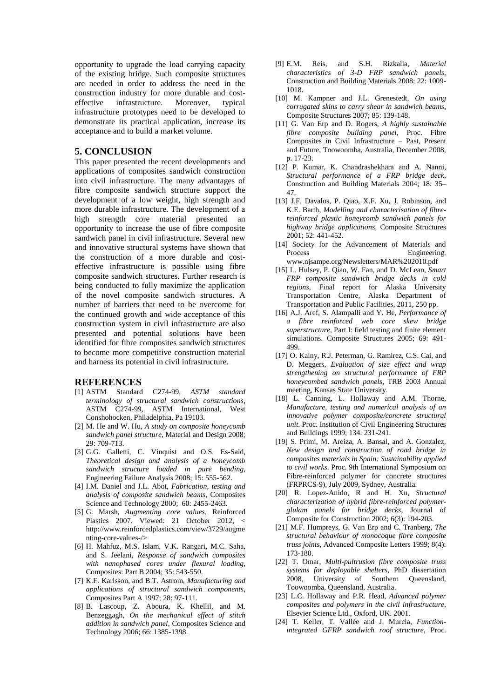opportunity to upgrade the load carrying capacity of the existing bridge. Such composite structures are needed in order to address the need in the construction industry for more durable and costeffective infrastructure. Moreover, typical infrastructure prototypes need to be developed to demonstrate its practical application, increase its acceptance and to build a market volume.

### **5. CONCLUSION**

This paper presented the recent developments and applications of composites sandwich construction into civil infrastructure. The many advantages of fibre composite sandwich structure support the development of a low weight, high strength and more durable infrastructure. The development of a high strength core material presented an opportunity to increase the use of fibre composite sandwich panel in civil infrastructure. Several new and innovative structural systems have shown that the construction of a more durable and costeffective infrastructure is possible using fibre composite sandwich structures. Further research is being conducted to fully maximize the application of the novel composite sandwich structures. A number of barriers that need to be overcome for the continued growth and wide acceptance of this construction system in civil infrastructure are also presented and potential solutions have been identified for fibre composites sandwich structures to become more competitive construction material and harness its potential in civil infrastructure.

#### **REFERENCES**

- [1] ASTM Standard C274-99, *ASTM standard terminology of structural sandwich constructions*, ASTM C274-99, ASTM International, West Conshohocken, Philadelphia, Pa 19103.
- [2] M. He and W. Hu, *A study on composite honeycomb sandwich panel structure*, Material and Design 2008; 29: 709-713.
- [3] G.G. Galletti, C. Vinquist and O.S. Es-Said, *Theoretical design and analysis of a honeycomb sandwich structure loaded in pure bending*, Engineering Failure Analysis 2008; 15: 555-562.
- [4] I.M. Daniel and J.L. Abot, *Fabrication, testing and analysis of composite sandwich beams*, Composites Science and Technology 2000; 60: 2455-2463.
- [5] G. Marsh, *Augmenting core values*, Reinforced Plastics 2007. Viewed: 21 October 2012, < http://www.reinforcedplastics.com/view/3729/augme nting-core-values-/>
- [6] H. Mahfuz, M.S. Islam, V.K. Rangari, M.C. Saha, and S. Jeelani, *Response of sandwich composites with nanophased cores under flexural loading*, Composites: Part B 2004; 35: 543-550.
- [7] K.F. Karlsson, and B.T. Astrom, *Manufacturing and applications of structural sandwich components*, Composites Part A 1997; 28: 97-111.
- [8] B. Lascoup, Z. Aboura, K. Khellil, and M. Benzeggagh, *On the mechanical effect of stitch addition in sandwich panel*, Composites Science and Technology 2006; 66: 1385-1398.
- [9] E.M. Reis, and S.H. Rizkalla, *Material characteristics of 3-D FRP sandwich panels*, Construction and Building Materials 2008; 22: 1009- 1018.
- [10] M. Kampner and J.L. Grenestedt, *On using corrugated skins to carry shear in sandwich beams*, Composite Structures 2007; 85: 139-148.
- [11] G. Van Erp and D. Rogers, *A highly sustainable fibre composite building panel*, Proc. Fibre Composites in Civil Infrastructure – Past, Present and Future, Toowoomba, Australia, December 2008, p. 17-23.
- [12] P. Kumar, K. Chandrashekhara and A. Nanni, *Structural performance of a FRP bridge deck*, Construction and Building Materials 2004; 18: 35– 47.
- [13] J.F. Davalos, P. Qiao, X.F. Xu, J. Robinson, and K.E. Barth, *Modelling and characterisation of fibrereinforced plastic honeycomb sandwich panels for highway bridge applications*, Composite Structures 2001; 52: 441-452.
- [14] Society for the Advancement of Materials and Process Engineering. www.njsampe.org/Newsletters/MAR%202010.pdf
- [15] L. Hulsey, P. Qiao, W. Fan, and D. McLean, *Smart FRP composite sandwich bridge decks in cold regions*, Final report for Alaska University Transportation Centre, Alaska Department of Transportation and Public Facilities, 2011, 250 pp.
- [16] A.J. Aref, S. Alampalli and Y. He, *Performance of a fibre reinforced web core skew bridge superstructure*, Part I: field testing and finite element simulations. Composite Structures 2005; 69: 491- 499.
- [17] O. Kalny, R.J. Peterman, G. Ramirez, C.S. Cai, and D. Meggers, *Evaluation of size effect and wrap strengthening on structural performance of FRP honeycombed sandwich panels*, TRB 2003 Annual meeting, Kansas State University.
- [18] L. Canning, L. Hollaway and A.M. Thorne, *Manufacture, testing and numerical analysis of an innovative polymer composite/concrete structural unit*. Proc. Institution of Civil Engineering Structures and Buildings 1999; 134: 231-241.
- [19] S. Primi, M. Areiza, A. Bansal, and A. Gonzalez, *New design and construction of road bridge in composites materials in Spain: Sustainability applied to civil works*. Proc. 9th International Symposium on Fibre-reinforced polymer for concrete structures (FRPRCS-9), July 2009, Sydney, Australia.
- [20] R. Lopez-Anido, R and H. Xu, *Structural characterization of hybrid fibre-reinforced polymerglulam panels for bridge decks*, Journal of Composite for Construction 2002; 6(3): 194-203.
- [21] M.F. Humpreys, G. Van Erp and C. Tranberg, *The structural behaviour of monocoque fibre composite truss joints*, Advanced Composite Letters 1999; 8(4): 173-180.
- [22] T. Omar, *Multi-pultrusion fibre composite truss systems for deployable shelters*, PhD dissertation 2008, University of Southern Queensland, Toowoomba, Queensland, Australia.
- [23] L.C. Hollaway and P.R. Head, *Advanced polymer composites and polymers in the civil infrastructure*, Elsevier Science Ltd., Oxford, UK. 2001.
- [24] T. Keller, T. Vallée and J. Murcia, *Functionintegrated GFRP sandwich roof structure*, Proc.